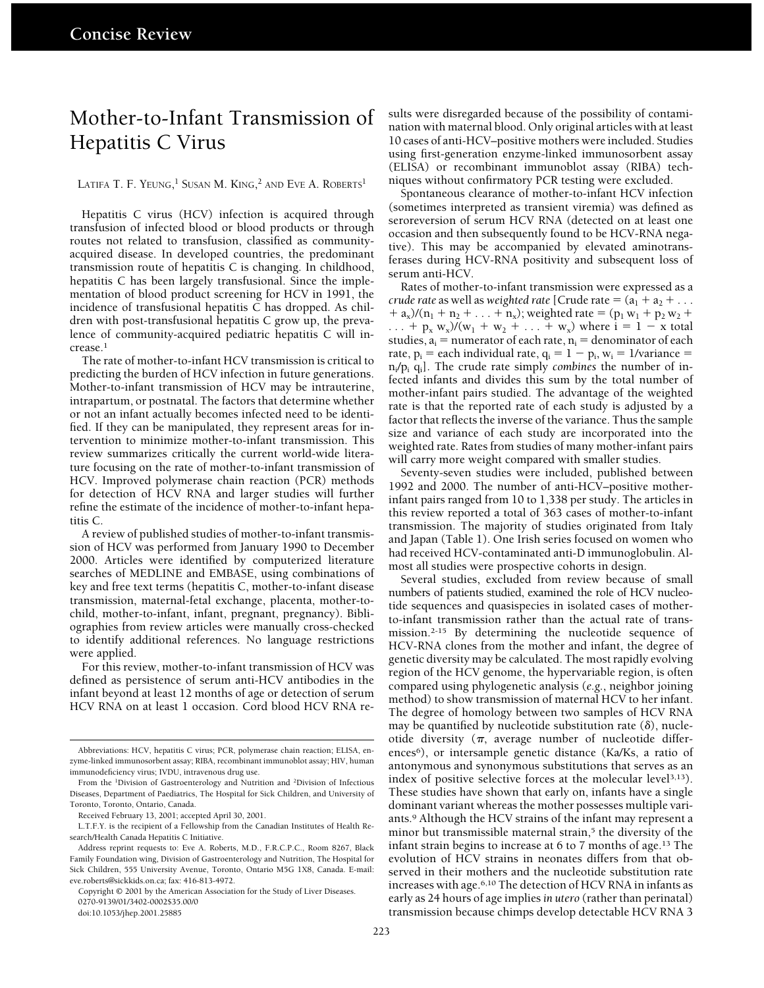# Mother-to-Infant Transmission of Hepatitis C Virus

LATIFA T. F. YEUNG,<sup>1</sup> SUSAN M. KING,<sup>2</sup> AND EVE A. ROBERTS<sup>1</sup>

Hepatitis C virus (HCV) infection is acquired through transfusion of infected blood or blood products or through routes not related to transfusion, classified as communityacquired disease. In developed countries, the predominant transmission route of hepatitis C is changing. In childhood, hepatitis C has been largely transfusional. Since the implementation of blood product screening for HCV in 1991, the incidence of transfusional hepatitis C has dropped. As children with post-transfusional hepatitis C grow up, the prevalence of community-acquired pediatric hepatitis C will in $c$ rease $1$ 

The rate of mother-to-infant HCV transmission is critical to predicting the burden of HCV infection in future generations. Mother-to-infant transmission of HCV may be intrauterine, intrapartum, or postnatal. The factors that determine whether or not an infant actually becomes infected need to be identified. If they can be manipulated, they represent areas for intervention to minimize mother-to-infant transmission. This review summarizes critically the current world-wide literature focusing on the rate of mother-to-infant transmission of HCV. Improved polymerase chain reaction (PCR) methods for detection of HCV RNA and larger studies will further refine the estimate of the incidence of mother-to-infant hepatitis C.

A review of published studies of mother-to-infant transmission of HCV was performed from January 1990 to December 2000. Articles were identified by computerized literature searches of MEDLINE and EMBASE, using combinations of key and free text terms (hepatitis C, mother-to-infant disease transmission, maternal-fetal exchange, placenta, mother-tochild, mother-to-infant, infant, pregnant, pregnancy). Bibliographies from review articles were manually cross-checked to identify additional references. No language restrictions were applied.

For this review, mother-to-infant transmission of HCV was defined as persistence of serum anti-HCV antibodies in the infant beyond at least 12 months of age or detection of serum HCV RNA on at least 1 occasion. Cord blood HCV RNA results were disregarded because of the possibility of contamination with maternal blood. Only original articles with at least 10 cases of anti-HCV–positive mothers were included. Studies using first-generation enzyme-linked immunosorbent assay (ELISA) or recombinant immunoblot assay (RIBA) techniques without confirmatory PCR testing were excluded.

Spontaneous clearance of mother-to-infant HCV infection (sometimes interpreted as transient viremia) was defined as seroreversion of serum HCV RNA (detected on at least one occasion and then subsequently found to be HCV-RNA negative). This may be accompanied by elevated aminotransferases during HCV-RNA positivity and subsequent loss of serum anti-HCV.

Rates of mother-to-infant transmission were expressed as a *crude rate* as well as *weighted rate* [Crude rate  $= (a_1 + a_2 + ...$ +  $a_x$ )/( $n_1 + n_2 + ... + n_x$ ); weighted rate = ( $p_1 w_1 + p_2 w_2 + ...$ ... +  $p_x w_x$ //( $w_1 + w_2 + ... + w_x$ ) where  $i = 1 - x$  total studies,  $a_i$  = numerator of each rate,  $n_i$  = denominator of each rate,  $p_i$  = each individual rate,  $q_i$  = 1 -  $p_i$ ,  $w_i$  = 1/variance = ni/pi qi]. The crude rate simply *combines* the number of infected infants and divides this sum by the total number of mother-infant pairs studied. The advantage of the weighted rate is that the reported rate of each study is adjusted by a factor that reflects the inverse of the variance. Thus the sample size and variance of each study are incorporated into the weighted rate. Rates from studies of many mother-infant pairs will carry more weight compared with smaller studies.

Seventy-seven studies were included, published between 1992 and 2000. The number of anti-HCV–positive motherinfant pairs ranged from 10 to 1,338 per study. The articles in this review reported a total of 363 cases of mother-to-infant transmission. The majority of studies originated from Italy and Japan (Table 1). One Irish series focused on women who had received HCV-contaminated anti-D immunoglobulin. Almost all studies were prospective cohorts in design.

Several studies, excluded from review because of small numbers of patients studied, examined the role of HCV nucleotide sequences and quasispecies in isolated cases of motherto-infant transmission rather than the actual rate of transmission.2-15 By determining the nucleotide sequence of HCV-RNA clones from the mother and infant, the degree of genetic diversity may be calculated. The most rapidly evolving region of the HCV genome, the hypervariable region, is often compared using phylogenetic analysis (*e.g.*, neighbor joining method) to show transmission of maternal HCV to her infant. The degree of homology between two samples of HCV RNA may be quantified by nucleotide substitution rate  $(\delta)$ , nucleotide diversity ( $\pi$ , average number of nucleotide differences<sup>6</sup>), or intersample genetic distance (Ka/Ks, a ratio of antonymous and synonymous substitutions that serves as an index of positive selective forces at the molecular level<sup>3,13</sup>). These studies have shown that early on, infants have a single dominant variant whereas the mother possesses multiple variants.9 Although the HCV strains of the infant may represent a minor but transmissible maternal strain, $5$  the diversity of the infant strain begins to increase at 6 to 7 months of age.13 The evolution of HCV strains in neonates differs from that observed in their mothers and the nucleotide substitution rate increases with age.6,10 The detection of HCV RNA in infants as early as 24 hours of age implies*in utero* (rather than perinatal) transmission because chimps develop detectable HCV RNA 3

Abbreviations: HCV, hepatitis C virus; PCR, polymerase chain reaction; ELISA, enzyme-linked immunosorbent assay; RIBA, recombinant immunoblot assay; HIV, human immunodeficiency virus; IVDU, intravenous drug use.

From the 1Division of Gastroenterology and Nutrition and 2Division of Infectious Diseases, Department of Paediatrics, The Hospital for Sick Children, and University of Toronto, Toronto, Ontario, Canada.

Received February 13, 2001; accepted April 30, 2001.

L.T.F.Y. is the recipient of a Fellowship from the Canadian Institutes of Health Research/Health Canada Hepatitis C Initiative.

Address reprint requests to: Eve A. Roberts, M.D., F.R.C.P.C., Room 8267, Black Family Foundation wing, Division of Gastroenterology and Nutrition, The Hospital for Sick Children, 555 University Avenue, Toronto, Ontario M5G 1X8, Canada. E-mail: eve.roberts@sickkids.on.ca; fax: 416-813-4972.

Copyright © 2001 by the American Association for the Study of Liver Diseases. 0270-9139/01/3402-0002\$35.00/0

doi:10.1053/jhep.2001.25885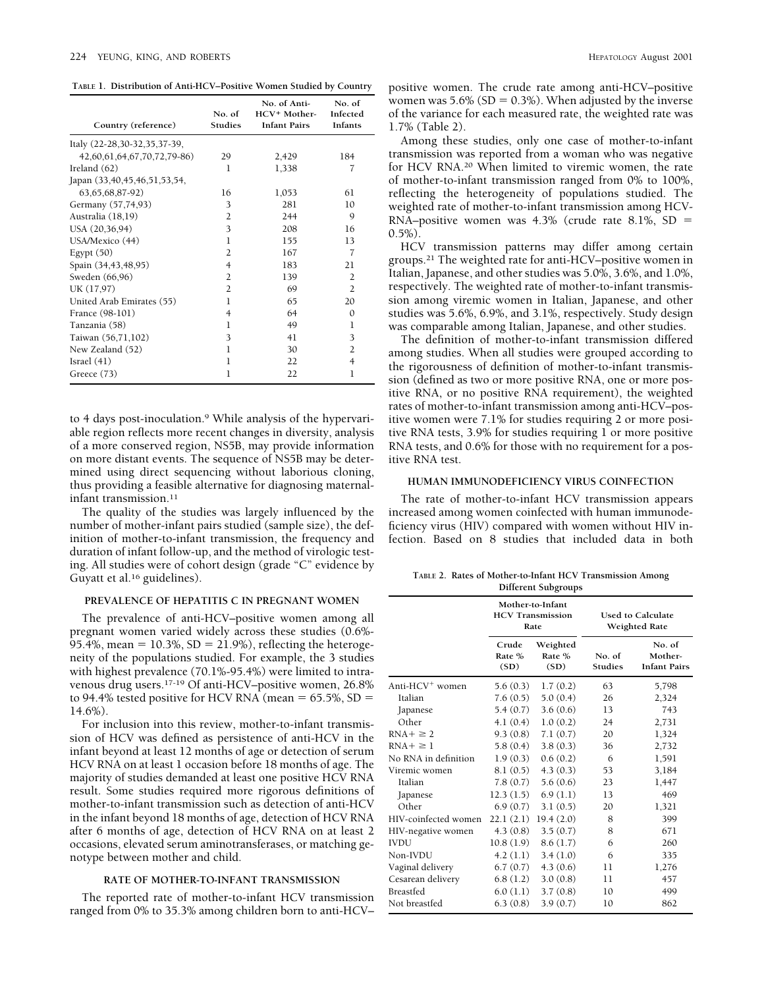**TABLE 1. Distribution of Anti-HCV–Positive Women Studied by Country**

| Country (reference)             | No. of<br><b>Studies</b> | No. of Anti-<br>HCV <sup>+</sup> Mother-<br><b>Infant Pairs</b> | No. of<br>Infected<br>Infants |
|---------------------------------|--------------------------|-----------------------------------------------------------------|-------------------------------|
| Italy (22-28, 30-32, 35, 37-39, |                          |                                                                 |                               |
| 42,60,61,64,67,70,72,79-86)     | 29                       | 2,429                                                           | 184                           |
| Ireland $(62)$                  | 1                        | 1,338                                                           | 7                             |
| Japan (33,40,45,46,51,53,54,    |                          |                                                                 |                               |
| 63, 65, 68, 87-92)              | 16                       | 1,053                                                           | 61                            |
| Germany (57,74,93)              | 3                        | 281                                                             | 10                            |
| Australia (18,19)               | $\overline{2}$           | 244                                                             | 9                             |
| USA (20,36,94)                  | 3                        | 208                                                             | 16                            |
| USA/Mexico (44)                 | 1                        | 155                                                             | 13                            |
| Egypt $(50)$                    | $\overline{2}$           | 167                                                             | 7                             |
| Spain (34,43,48,95)             | 4                        | 183                                                             | 21                            |
| Sweden (66,96)                  | $\overline{2}$           | 139                                                             | $\overline{2}$                |
| UK (17,97)                      | $\overline{2}$           | 69                                                              | $\overline{2}$                |
| United Arab Emirates (55)       | 1                        | 65                                                              | 20                            |
| France (98-101)                 | 4                        | 64                                                              | $\Omega$                      |
| Tanzania (58)                   | 1                        | 49                                                              | 1                             |
| Taiwan (56,71,102)              | 3                        | 41                                                              | 3                             |
| New Zealand (52)                | 1                        | 30                                                              | $\overline{2}$                |
| Israel $(41)$                   | 1                        | 22                                                              | 4                             |
| Greece (73)                     | 1                        | 22                                                              | 1                             |

to 4 days post-inoculation.9 While analysis of the hypervariable region reflects more recent changes in diversity, analysis of a more conserved region, NS5B, may provide information on more distant events. The sequence of NS5B may be determined using direct sequencing without laborious cloning, thus providing a feasible alternative for diagnosing maternalinfant transmission.<sup>11</sup>

The quality of the studies was largely influenced by the number of mother-infant pairs studied (sample size), the definition of mother-to-infant transmission, the frequency and duration of infant follow-up, and the method of virologic testing. All studies were of cohort design (grade "C" evidence by Guyatt et al.<sup>16</sup> guidelines).

# **PREVALENCE OF HEPATITIS C IN PREGNANT WOMEN**

The prevalence of anti-HCV–positive women among all pregnant women varied widely across these studies (0.6%- 95.4%, mean =  $10.3\%$ , SD =  $21.9\%$ ), reflecting the heterogeneity of the populations studied. For example, the 3 studies with highest prevalence (70.1%-95.4%) were limited to intravenous drug users.17-19 Of anti-HCV–positive women, 26.8% to 94.4% tested positive for HCV RNA (mean =  $65.5\%$ , SD =  $14.6\%$ ).

For inclusion into this review, mother-to-infant transmission of HCV was defined as persistence of anti-HCV in the infant beyond at least 12 months of age or detection of serum HCV RNA on at least 1 occasion before 18 months of age. The majority of studies demanded at least one positive HCV RNA result. Some studies required more rigorous definitions of mother-to-infant transmission such as detection of anti-HCV in the infant beyond 18 months of age, detection of HCV RNA after 6 months of age, detection of HCV RNA on at least 2 occasions, elevated serum aminotransferases, or matching genotype between mother and child.

# **RATE OF MOTHER-TO-INFANT TRANSMISSION**

The reported rate of mother-to-infant HCV transmission ranged from 0% to 35.3% among children born to anti-HCV– positive women. The crude rate among anti-HCV–positive women was  $5.6\%$  (SD = 0.3%). When adjusted by the inverse of the variance for each measured rate, the weighted rate was 1.7% (Table 2).

Among these studies, only one case of mother-to-infant transmission was reported from a woman who was negative for HCV RNA.20 When limited to viremic women, the rate of mother-to-infant transmission ranged from 0% to 100%, reflecting the heterogeneity of populations studied. The weighted rate of mother-to-infant transmission among HCV-RNA–positive women was  $4.3\%$  (crude rate  $8.1\%$ , SD =  $0.5\%$ ).

HCV transmission patterns may differ among certain groups.21 The weighted rate for anti-HCV–positive women in Italian, Japanese, and other studies was 5.0%, 3.6%, and 1.0%, respectively. The weighted rate of mother-to-infant transmission among viremic women in Italian, Japanese, and other studies was 5.6%, 6.9%, and 3.1%, respectively. Study design was comparable among Italian, Japanese, and other studies.

The definition of mother-to-infant transmission differed among studies. When all studies were grouped according to the rigorousness of definition of mother-to-infant transmission (defined as two or more positive RNA, one or more positive RNA, or no positive RNA requirement), the weighted rates of mother-to-infant transmission among anti-HCV–positive women were 7.1% for studies requiring 2 or more positive RNA tests, 3.9% for studies requiring 1 or more positive RNA tests, and 0.6% for those with no requirement for a positive RNA test.

# **HUMAN IMMUNODEFICIENCY VIRUS COINFECTION**

The rate of mother-to-infant HCV transmission appears increased among women coinfected with human immunodeficiency virus (HIV) compared with women without HIV infection. Based on 8 studies that included data in both

**TABLE 2. Rates of Mother-to-Infant HCV Transmission Among Different Subgroups**

|                             | Mother-to-Infant<br><b>HCV Transmission</b><br>Rate |                            | Used to Calculate<br>Weighted Rate |                                          |
|-----------------------------|-----------------------------------------------------|----------------------------|------------------------------------|------------------------------------------|
|                             | Crude<br>Rate %<br>(SD)                             | Weighted<br>Rate %<br>(SD) | No. of<br><b>Studies</b>           | No. of<br>Mother-<br><b>Infant Pairs</b> |
| Anti-HCV <sup>+</sup> women | 5.6(0.3)                                            | 1.7(0.2)                   | 63                                 | 5,798                                    |
| Italian                     | 7.6(0.5)                                            | 5.0(0.4)                   | 26                                 | 2,324                                    |
| Japanese                    | 5.4(0.7)                                            | 3.6(0.6)                   | 13                                 | 743                                      |
| Other                       | 4.1(0.4)                                            | 1.0(0.2)                   | 24                                 | 2,731                                    |
| $RNA + \geq 2$              | 9.3(0.8)                                            | 7.1(0.7)                   | 20                                 | 1,324                                    |
| $RNA + \geq 1$              | 5.8(0.4)                                            | 3.8(0.3)                   | 36                                 | 2,732                                    |
| No RNA in definition        | 1.9(0.3)                                            | 0.6(0.2)                   | 6                                  | 1,591                                    |
| Viremic women               | 8.1(0.5)                                            | 4.3(0.3)                   | 53                                 | 3,184                                    |
| Italian                     | 7.8(0.7)                                            | 5.6(0.6)                   | 23                                 | 1,447                                    |
| Japanese                    | 12.3(1.5)                                           | 6.9(1.1)                   | 13                                 | 469                                      |
| Other                       | 6.9(0.7)                                            | 3.1(0.5)                   | 20                                 | 1,321                                    |
| HIV-coinfected women        | 22.1(2.1)                                           | 19.4(2.0)                  | 8                                  | 399                                      |
| HIV-negative women          | 4.3(0.8)                                            | 3.5(0.7)                   | 8                                  | 671                                      |
| <b>IVDU</b>                 | 10.8(1.9)                                           | 8.6(1.7)                   | 6                                  | 260                                      |
| Non-IVDU                    | 4.2(1.1)                                            | 3.4(1.0)                   | 6                                  | 335                                      |
| Vaginal delivery            | 6.7(0.7)                                            | 4.3(0.6)                   | 11                                 | 1,276                                    |
| Cesarean delivery           | 6.8(1.2)                                            | 3.0(0.8)                   | 11                                 | 457                                      |
| Breastfed                   | 6.0(1.1)                                            | 3.7(0.8)                   | 10                                 | 499                                      |
| Not breastfed               | 6.3(0.8)                                            | 3.9(0.7)                   | 10                                 | 862                                      |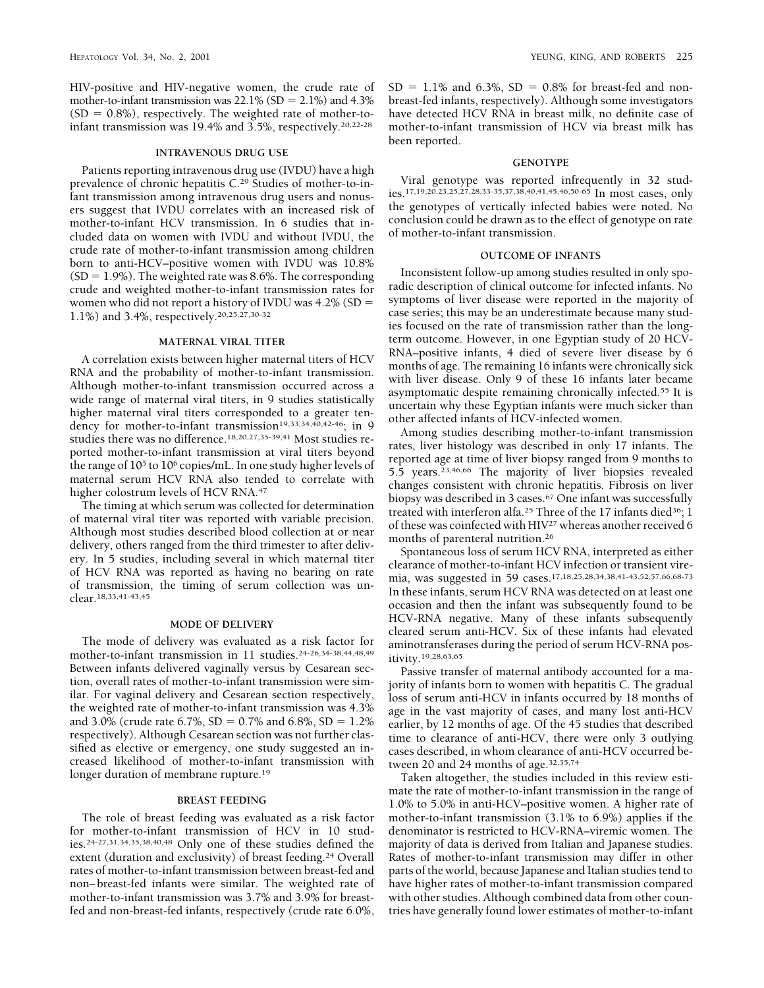HIV-positive and HIV-negative women, the crude rate of mother-to-infant transmission was  $22.1\%$  (SD =  $2.1\%$ ) and  $4.3\%$  $(SD = 0.8\%)$ , respectively. The weighted rate of mother-toinfant transmission was 19.4% and 3.5%, respectively.20,22-28

### **INTRAVENOUS DRUG USE**

Patients reporting intravenous drug use (IVDU) have a high prevalence of chronic hepatitis C.29 Studies of mother-to-infant transmission among intravenous drug users and nonusers suggest that IVDU correlates with an increased risk of mother-to-infant HCV transmission. In 6 studies that included data on women with IVDU and without IVDU, the crude rate of mother-to-infant transmission among children born to anti-HCV–positive women with IVDU was 10.8%  $(SD = 1.9\%)$ . The weighted rate was 8.6%. The corresponding crude and weighted mother-to-infant transmission rates for women who did not report a history of IVDU was 4.2% (SD 1.1%) and 3.4%, respectively.20,25,27,30-32

## **MATERNAL VIRAL TITER**

A correlation exists between higher maternal titers of HCV RNA and the probability of mother-to-infant transmission. Although mother-to-infant transmission occurred across a wide range of maternal viral titers, in 9 studies statistically higher maternal viral titers corresponded to a greater tendency for mother-to-infant transmission<sup>19,33,34,40,42-46</sup>; in 9 studies there was no difference.18,20,27,35-39,41 Most studies reported mother-to-infant transmission at viral titers beyond the range of 10<sup>5</sup> to 10<sup>6</sup> copies/mL. In one study higher levels of maternal serum HCV RNA also tended to correlate with higher colostrum levels of HCV RNA.<sup>47</sup>

The timing at which serum was collected for determination of maternal viral titer was reported with variable precision. Although most studies described blood collection at or near delivery, others ranged from the third trimester to after delivery. In 5 studies, including several in which maternal titer of HCV RNA was reported as having no bearing on rate of transmission, the timing of serum collection was unclear.18,33,41-43,45

# **MODE OF DELIVERY**

The mode of delivery was evaluated as a risk factor for mother-to-infant transmission in 11 studies.<sup>24-26,34-38,44,48,49</sup> Between infants delivered vaginally versus by Cesarean section, overall rates of mother-to-infant transmission were similar. For vaginal delivery and Cesarean section respectively, the weighted rate of mother-to-infant transmission was 4.3% and 3.0% (crude rate 6.7%, SD = 0.7% and 6.8%, SD = 1.2% respectively). Although Cesarean section was not further classified as elective or emergency, one study suggested an increased likelihood of mother-to-infant transmission with longer duration of membrane rupture.<sup>19</sup>

#### **BREAST FEEDING**

The role of breast feeding was evaluated as a risk factor for mother-to-infant transmission of HCV in 10 studies.24-27,31,34,35,38,40,48 Only one of these studies defined the extent (duration and exclusivity) of breast feeding.<sup>24</sup> Overall rates of mother-to-infant transmission between breast-fed and non–breast-fed infants were similar. The weighted rate of mother-to-infant transmission was 3.7% and 3.9% for breastfed and non-breast-fed infants, respectively (crude rate 6.0%,

 $SD = 1.1\%$  and 6.3%,  $SD = 0.8\%$  for breast-fed and nonbreast-fed infants, respectively). Although some investigators have detected HCV RNA in breast milk, no definite case of mother-to-infant transmission of HCV via breast milk has been reported.

#### **GENOTYPE**

Viral genotype was reported infrequently in 32 studies.17,19,20,23,25,27,28,33-35,37,38,40,41,45,46,50-65 In most cases, only the genotypes of vertically infected babies were noted. No conclusion could be drawn as to the effect of genotype on rate of mother-to-infant transmission.

#### **OUTCOME OF INFANTS**

Inconsistent follow-up among studies resulted in only sporadic description of clinical outcome for infected infants. No symptoms of liver disease were reported in the majority of case series; this may be an underestimate because many studies focused on the rate of transmission rather than the longterm outcome. However, in one Egyptian study of 20 HCV-RNA–positive infants, 4 died of severe liver disease by 6 months of age. The remaining 16 infants were chronically sick with liver disease. Only 9 of these 16 infants later became asymptomatic despite remaining chronically infected.55 It is uncertain why these Egyptian infants were much sicker than other affected infants of HCV-infected women.

Among studies describing mother-to-infant transmission rates, liver histology was described in only 17 infants. The reported age at time of liver biopsy ranged from 9 months to 5.5 years.23,46,66 The majority of liver biopsies revealed changes consistent with chronic hepatitis. Fibrosis on liver biopsy was described in 3 cases.67 One infant was successfully treated with interferon alfa.<sup>25</sup> Three of the 17 infants died<sup>36</sup>; 1 of these was coinfected with HIV<sup>27</sup> whereas another received 6 months of parenteral nutrition.26

Spontaneous loss of serum HCV RNA, interpreted as either clearance of mother-to-infant HCV infection or transient viremia, was suggested in 59 cases.17,18,25,28,34,38,41-43,52,57,66,68-73 In these infants, serum HCV RNA was detected on at least one occasion and then the infant was subsequently found to be HCV-RNA negative. Many of these infants subsequently cleared serum anti-HCV. Six of these infants had elevated aminotransferases during the period of serum HCV-RNA positivity.19,28,63,65

Passive transfer of maternal antibody accounted for a majority of infants born to women with hepatitis C. The gradual loss of serum anti-HCV in infants occurred by 18 months of age in the vast majority of cases, and many lost anti-HCV earlier, by 12 months of age. Of the 45 studies that described time to clearance of anti-HCV, there were only 3 outlying cases described, in whom clearance of anti-HCV occurred between 20 and 24 months of age.<sup>32,35,74</sup>

Taken altogether, the studies included in this review estimate the rate of mother-to-infant transmission in the range of 1.0% to 5.0% in anti-HCV–positive women. A higher rate of mother-to-infant transmission (3.1% to 6.9%) applies if the denominator is restricted to HCV-RNA–viremic women. The majority of data is derived from Italian and Japanese studies. Rates of mother-to-infant transmission may differ in other parts of the world, because Japanese and Italian studies tend to have higher rates of mother-to-infant transmission compared with other studies. Although combined data from other countries have generally found lower estimates of mother-to-infant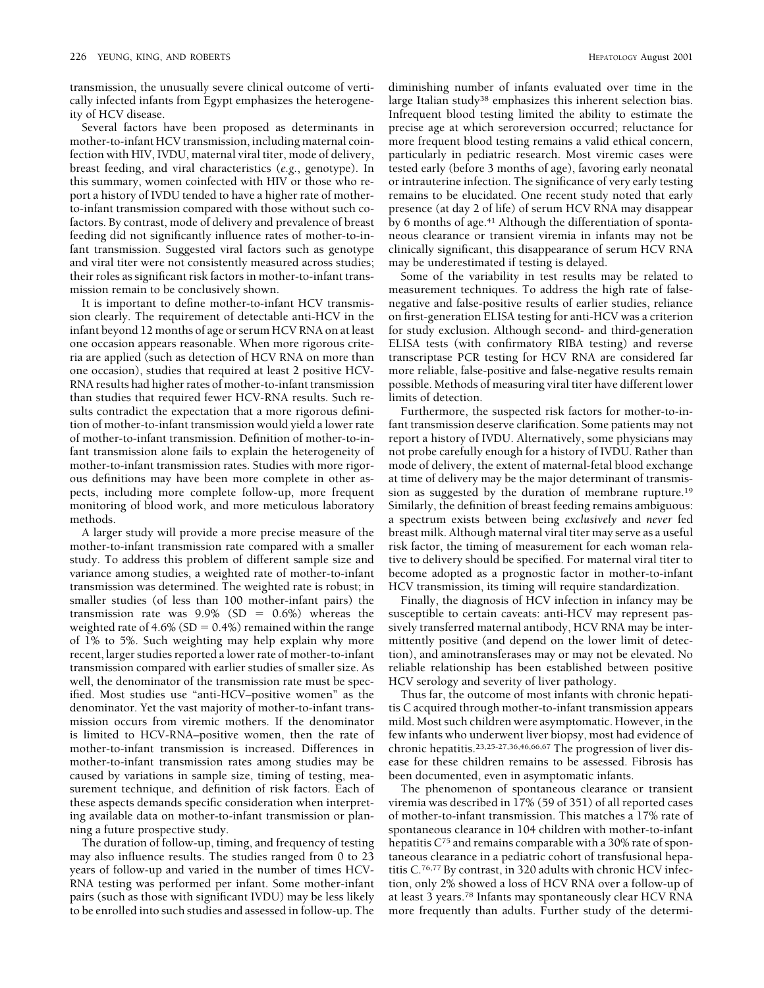transmission, the unusually severe clinical outcome of vertically infected infants from Egypt emphasizes the heterogeneity of HCV disease.

Several factors have been proposed as determinants in mother-to-infant HCV transmission, including maternal coinfection with HIV, IVDU, maternal viral titer, mode of delivery, breast feeding, and viral characteristics (*e.g.*, genotype). In this summary, women coinfected with HIV or those who report a history of IVDU tended to have a higher rate of motherto-infant transmission compared with those without such cofactors. By contrast, mode of delivery and prevalence of breast feeding did not significantly influence rates of mother-to-infant transmission. Suggested viral factors such as genotype and viral titer were not consistently measured across studies; their roles as significant risk factors in mother-to-infant transmission remain to be conclusively shown.

It is important to define mother-to-infant HCV transmission clearly. The requirement of detectable anti-HCV in the infant beyond 12 months of age or serum HCV RNA on at least one occasion appears reasonable. When more rigorous criteria are applied (such as detection of HCV RNA on more than one occasion), studies that required at least 2 positive HCV-RNA results had higher rates of mother-to-infant transmission than studies that required fewer HCV-RNA results. Such results contradict the expectation that a more rigorous definition of mother-to-infant transmission would yield a lower rate of mother-to-infant transmission. Definition of mother-to-infant transmission alone fails to explain the heterogeneity of mother-to-infant transmission rates. Studies with more rigorous definitions may have been more complete in other aspects, including more complete follow-up, more frequent monitoring of blood work, and more meticulous laboratory methods.

A larger study will provide a more precise measure of the mother-to-infant transmission rate compared with a smaller study. To address this problem of different sample size and variance among studies, a weighted rate of mother-to-infant transmission was determined. The weighted rate is robust; in smaller studies (of less than 100 mother-infant pairs) the transmission rate was  $9.9\%$  (SD = 0.6%) whereas the weighted rate of 4.6% (SD =  $0.4%$ ) remained within the range of 1% to 5%. Such weighting may help explain why more recent, larger studies reported a lower rate of mother-to-infant transmission compared with earlier studies of smaller size. As well, the denominator of the transmission rate must be specified. Most studies use "anti-HCV–positive women" as the denominator. Yet the vast majority of mother-to-infant transmission occurs from viremic mothers. If the denominator is limited to HCV-RNA–positive women, then the rate of mother-to-infant transmission is increased. Differences in mother-to-infant transmission rates among studies may be caused by variations in sample size, timing of testing, measurement technique, and definition of risk factors. Each of these aspects demands specific consideration when interpreting available data on mother-to-infant transmission or planning a future prospective study.

The duration of follow-up, timing, and frequency of testing may also influence results. The studies ranged from 0 to 23 years of follow-up and varied in the number of times HCV-RNA testing was performed per infant. Some mother-infant pairs (such as those with significant IVDU) may be less likely to be enrolled into such studies and assessed in follow-up. The

diminishing number of infants evaluated over time in the large Italian study<sup>38</sup> emphasizes this inherent selection bias. Infrequent blood testing limited the ability to estimate the precise age at which seroreversion occurred; reluctance for more frequent blood testing remains a valid ethical concern, particularly in pediatric research. Most viremic cases were tested early (before 3 months of age), favoring early neonatal or intrauterine infection. The significance of very early testing remains to be elucidated. One recent study noted that early presence (at day 2 of life) of serum HCV RNA may disappear by 6 months of age.<sup>41</sup> Although the differentiation of spontaneous clearance or transient viremia in infants may not be clinically significant, this disappearance of serum HCV RNA may be underestimated if testing is delayed.

Some of the variability in test results may be related to measurement techniques. To address the high rate of falsenegative and false-positive results of earlier studies, reliance on first-generation ELISA testing for anti-HCV was a criterion for study exclusion. Although second- and third-generation ELISA tests (with confirmatory RIBA testing) and reverse transcriptase PCR testing for HCV RNA are considered far more reliable, false-positive and false-negative results remain possible. Methods of measuring viral titer have different lower limits of detection.

Furthermore, the suspected risk factors for mother-to-infant transmission deserve clarification. Some patients may not report a history of IVDU. Alternatively, some physicians may not probe carefully enough for a history of IVDU. Rather than mode of delivery, the extent of maternal-fetal blood exchange at time of delivery may be the major determinant of transmission as suggested by the duration of membrane rupture.<sup>19</sup> Similarly, the definition of breast feeding remains ambiguous: a spectrum exists between being *exclusively* and *never* fed breast milk. Although maternal viral titer may serve as a useful risk factor, the timing of measurement for each woman relative to delivery should be specified. For maternal viral titer to become adopted as a prognostic factor in mother-to-infant HCV transmission, its timing will require standardization.

Finally, the diagnosis of HCV infection in infancy may be susceptible to certain caveats: anti-HCV may represent passively transferred maternal antibody, HCV RNA may be intermittently positive (and depend on the lower limit of detection), and aminotransferases may or may not be elevated. No reliable relationship has been established between positive HCV serology and severity of liver pathology.

Thus far, the outcome of most infants with chronic hepatitis C acquired through mother-to-infant transmission appears mild. Most such children were asymptomatic. However, in the few infants who underwent liver biopsy, most had evidence of chronic hepatitis.23,25-27,36,46,66,67 The progression of liver disease for these children remains to be assessed. Fibrosis has been documented, even in asymptomatic infants.

The phenomenon of spontaneous clearance or transient viremia was described in 17% (59 of 351) of all reported cases of mother-to-infant transmission. This matches a 17% rate of spontaneous clearance in 104 children with mother-to-infant hepatitis C<sup>75</sup> and remains comparable with a 30% rate of spontaneous clearance in a pediatric cohort of transfusional hepatitis C.76,77 By contrast, in 320 adults with chronic HCV infection, only 2% showed a loss of HCV RNA over a follow-up of at least 3 years.78 Infants may spontaneously clear HCV RNA more frequently than adults. Further study of the determi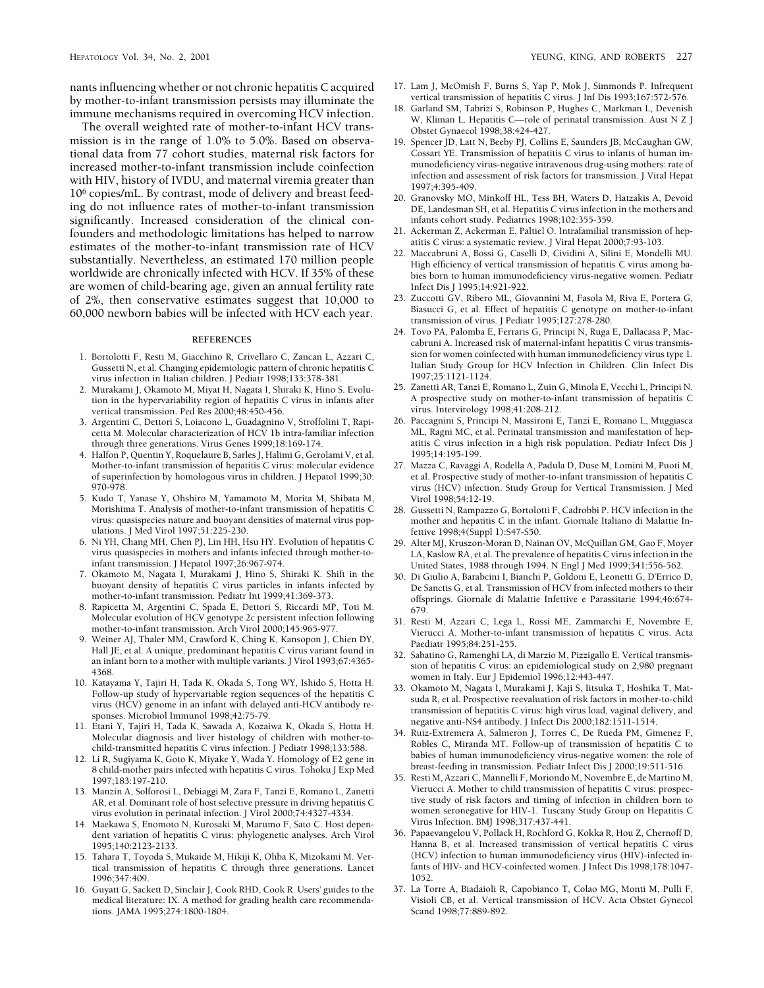nants influencing whether or not chronic hepatitis C acquired by mother-to-infant transmission persists may illuminate the immune mechanisms required in overcoming HCV infection.

The overall weighted rate of mother-to-infant HCV transmission is in the range of 1.0% to 5.0%. Based on observational data from 77 cohort studies, maternal risk factors for increased mother-to-infant transmission include coinfection with HIV, history of IVDU, and maternal viremia greater than 106 copies/mL. By contrast, mode of delivery and breast feeding do not influence rates of mother-to-infant transmission significantly. Increased consideration of the clinical confounders and methodologic limitations has helped to narrow estimates of the mother-to-infant transmission rate of HCV substantially. Nevertheless, an estimated 170 million people worldwide are chronically infected with HCV. If 35% of these are women of child-bearing age, given an annual fertility rate of 2%, then conservative estimates suggest that 10,000 to 60,000 newborn babies will be infected with HCV each year.

## **REFERENCES**

- 1. Bortolotti F, Resti M, Giacchino R, Crivellaro C, Zancan L, Azzari C, Gussetti N, et al. Changing epidemiologic pattern of chronic hepatitis C virus infection in Italian children. J Pediatr 1998;133:378-381.
- 2. Murakami J, Okamoto M, Miyat H, Nagata I, Shiraki K, Hino S. Evolution in the hypervariability region of hepatitis C virus in infants after vertical transmission. Ped Res 2000;48:450-456.
- 3. Argentini C, Dettori S, Loiacono L, Guadagnino V, Stroffolini T, Rapicetta M. Molecular characterization of HCV 1b intra-familiar infection through three generations. Virus Genes 1999;18:169-174.
- 4. Halfon P, Quentin Y, Roquelaure B, Sarles J, Halimi G, Gerolami V, et al. Mother-to-infant transmission of hepatitis C virus: molecular evidence of superinfection by homologous virus in children. J Hepatol 1999;30: 970-978.
- 5. Kudo T, Yanase Y, Ohshiro M, Yamamoto M, Morita M, Shibata M, Morishima T. Analysis of mother-to-infant transmission of hepatitis C virus: quasispecies nature and buoyant densities of maternal virus populations. J Med Virol 1997;51:225-230.
- 6. Ni YH, Chang MH, Chen PJ, Lin HH, Hsu HY. Evolution of hepatitis C virus quasispecies in mothers and infants infected through mother-toinfant transmission. J Hepatol 1997;26:967-974.
- 7. Okamoto M, Nagata I, Murakami J, Hino S, Shiraki K. Shift in the buoyant density of hepatitis C virus particles in infants infected by mother-to-infant transmission. Pediatr Int 1999;41:369-373.
- 8. Rapicetta M, Argentini C, Spada E, Dettori S, Riccardi MP, Toti M. Molecular evolution of HCV genotype 2c persistent infection following mother-to-infant transmission. Arch Virol 2000;145:965-977.
- 9. Weiner AJ, Thaler MM, Crawford K, Ching K, Kansopon J, Chien DY, Hall JE, et al. A unique, predominant hepatitis C virus variant found in an infant born to a mother with multiple variants. J Virol 1993;67:4365- 4368.
- 10. Katayama Y, Tajiri H, Tada K, Okada S, Tong WY, Ishido S, Hotta H. Follow-up study of hypervariable region sequences of the hepatitis C virus (HCV) genome in an infant with delayed anti-HCV antibody responses. Microbiol Immunol 1998;42:75-79.
- 11. Etani Y, Tajiri H, Tada K, Sawada A, Kozaiwa K, Okada S, Hotta H. Molecular diagnosis and liver histology of children with mother-tochild-transmitted hepatitis C virus infection. J Pediatr 1998;133:588.
- 12. Li R, Sugiyama K, Goto K, Miyake Y, Wada Y. Homology of E2 gene in 8 child-mother pairs infected with hepatitis C virus. Tohoku J Exp Med 1997;183:197-210.
- 13. Manzin A, Solforosi L, Debiaggi M, Zara F, Tanzi E, Romano L, Zanetti AR, et al. Dominant role of host selective pressure in driving hepatitis C virus evolution in perinatal infection. J Virol 2000;74:4327-4334.
- 14. Maekawa S, Enomoto N, Kurosaki M, Marumo F, Sato C. Host dependent variation of hepatitis C virus: phylogenetic analyses. Arch Virol 1995;140:2123-2133.
- 15. Tahara T, Toyoda S, Mukaide M, Hikiji K, Ohba K, Mizokami M. Vertical transmission of hepatitis C through three generations. Lancet 1996;347:409.
- 16. Guyatt G, Sackett D, Sinclair J, Cook RHD, Cook R. Users' guides to the medical literature: IX. A method for grading health care recommendations. JAMA 1995;274:1800-1804.
- 17. Lam J, McOmish F, Burns S, Yap P, Mok J, Simmonds P. Infrequent vertical transmission of hepatitis C virus. J Inf Dis 1993;167:572-576.
- 18. Garland SM, Tabrizi S, Robinson P, Hughes C, Markman L, Devenish W, Kliman L. Hepatitis C—role of perinatal transmission. Aust N Z J Obstet Gynaecol 1998;38:424-427.
- 19. Spencer JD, Latt N, Beeby PJ, Collins E, Saunders JB, McCaughan GW, Cossart YE. Transmission of hepatitis C virus to infants of human immunodeficiency virus-negative intravenous drug-using mothers: rate of infection and assessment of risk factors for transmission. J Viral Hepat 1997;4:395-409.
- 20. Granovsky MO, Minkoff HL, Tess BH, Waters D, Hatzakis A, Devoid DE, Landesman SH, et al. Hepatitis C virus infection in the mothers and infants cohort study. Pediatrics 1998;102:355-359.
- 21. Ackerman Z, Ackerman E, Paltiel O. Intrafamilial transmission of hepatitis C virus: a systematic review. J Viral Hepat 2000;7:93-103.
- 22. Maccabruni A, Bossi G, Caselli D, Cividini A, Silini E, Mondelli MU. High efficiency of vertical transmission of hepatitis C virus among babies born to human immunodeficiency virus-negative women. Pediatr Infect Dis J 1995;14:921-922.
- 23. Zuccotti GV, Ribero ML, Giovannini M, Fasola M, Riva E, Portera G, Biasucci G, et al. Effect of hepatitis C genotype on mother-to-infant transmission of virus. J Pediatr 1995;127:278-280.
- 24. Tovo PA, Palomba E, Ferraris G, Principi N, Ruga E, Dallacasa P, Maccabruni A. Increased risk of maternal-infant hepatitis C virus transmission for women coinfected with human immunodeficiency virus type 1. Italian Study Group for HCV Infection in Children. Clin Infect Dis 1997;25:1121-1124.
- 25. Zanetti AR, Tanzi E, Romano L, Zuin G, Minola E, Vecchi L, Principi N. A prospective study on mother-to-infant transmission of hepatitis C virus. Intervirology 1998;41:208-212.
- 26. Paccagnini S, Principi N, Massironi E, Tanzi E, Romano L, Muggiasca ML, Ragni MC, et al. Perinatal transmission and manifestation of hepatitis C virus infection in a high risk population. Pediatr Infect Dis J 1995;14:195-199.
- 27. Mazza C, Ravaggi A, Rodella A, Padula D, Duse M, Lomini M, Puoti M, et al. Prospective study of mother-to-infant transmission of hepatitis C virus (HCV) infection. Study Group for Vertical Transmission. J Med Virol 1998;54:12-19.
- 28. Gussetti N, Rampazzo G, Bortolotti F, Cadrobbi P. HCV infection in the mother and hepatitis C in the infant. Giornale Italiano di Malattie Infettive 1998;4(Suppl 1):S47-S50.
- 29. Alter MJ, Kruszon-Moran D, Nainan OV, McQuillan GM, Gao F, Moyer LA, Kaslow RA, et al. The prevalence of hepatitis C virus infection in the United States, 1988 through 1994. N Engl J Med 1999;341:556-562.
- 30. Di Giulio A, Barabcini I, Bianchi P, Goldoni E, Leonetti G, D'Errico D, De Sanctis G, et al. Transmission of HCV from infected mothers to their offsprings. Giornale di Malattie Infettive e Parassitarie 1994;46:674- 679.
- 31. Resti M, Azzari C, Lega L, Rossi ME, Zammarchi E, Novembre E, Vierucci A. Mother-to-infant transmission of hepatitis C virus. Acta Paediatr 1995;84:251-255.
- 32. Sabatino G, Ramenghi LA, di Marzio M, Pizzigallo E. Vertical transmission of hepatitis C virus: an epidemiological study on 2,980 pregnant women in Italy. Eur J Epidemiol 1996;12:443-447.
- 33. Okamoto M, Nagata I, Murakami J, Kaji S, Iitsuka T, Hoshika T, Matsuda R, et al. Prospective reevaluation of risk factors in mother-to-child transmission of hepatitis C virus: high virus load, vaginal delivery, and negative anti-NS4 antibody. J Infect Dis 2000;182:1511-1514.
- 34. Ruiz-Extremera A, Salmeron J, Torres C, De Rueda PM, Gimenez F, Robles C, Miranda MT. Follow-up of transmission of hepatitis C to babies of human immunodeficiency virus-negative women: the role of breast-feeding in transmission. Pediatr Infect Dis J 2000;19:511-516.
- 35. Resti M, Azzari C, Mannelli F, Moriondo M, Novembre E, de Martino M, Vierucci A. Mother to child transmission of hepatitis C virus: prospective study of risk factors and timing of infection in children born to women seronegative for HIV-1. Tuscany Study Group on Hepatitis C Virus Infection. BMJ 1998;317:437-441.
- 36. Papaevangelou V, Pollack H, Rochford G, Kokka R, Hou Z, Chernoff D, Hanna B, et al. Increased transmission of vertical hepatitis C virus (HCV) infection to human immunodeficiency virus (HIV)-infected infants of HIV- and HCV-coinfected women. J Infect Dis 1998;178:1047- 1052.
- 37. La Torre A, Biadaioli R, Capobianco T, Colao MG, Monti M, Pulli F, Visioli CB, et al. Vertical transmission of HCV. Acta Obstet Gynecol Scand 1998;77:889-892.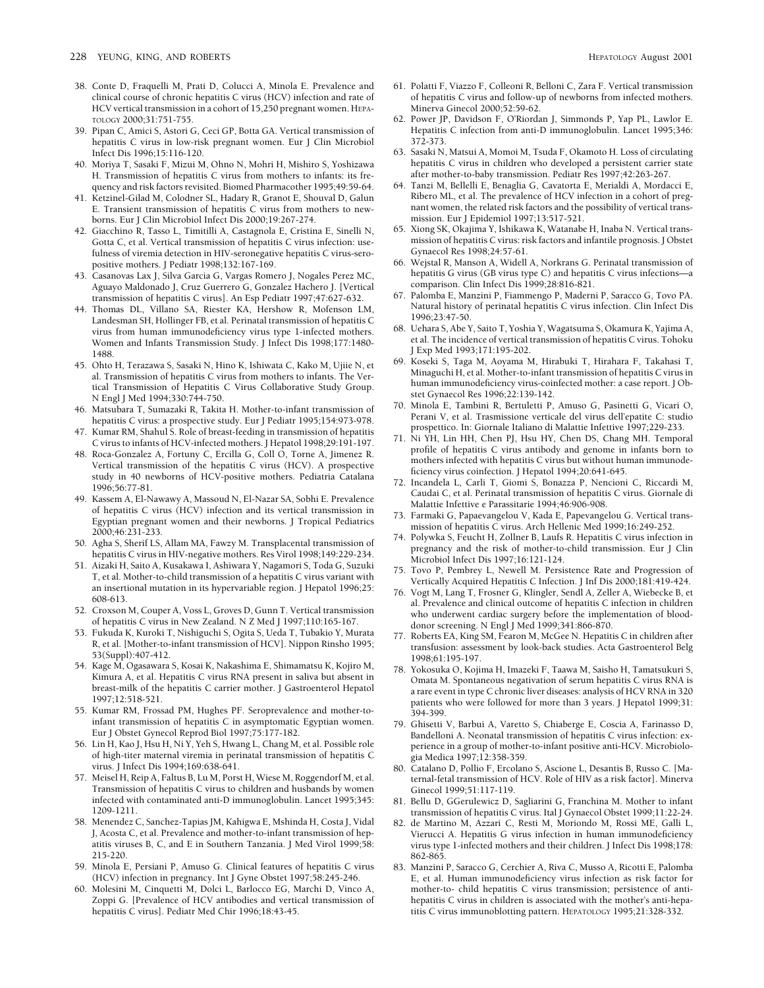- 38. Conte D, Fraquelli M, Prati D, Colucci A, Minola E. Prevalence and clinical course of chronic hepatitis C virus (HCV) infection and rate of HCV vertical transmission in a cohort of 15,250 pregnant women. HEPA-TOLOGY 2000;31:751-755.
- 39. Pipan C, Amici S, Astori G, Ceci GP, Botta GA. Vertical transmission of hepatitis C virus in low-risk pregnant women. Eur J Clin Microbiol Infect Dis 1996;15:116-120.
- 40. Moriya T, Sasaki F, Mizui M, Ohno N, Mohri H, Mishiro S, Yoshizawa H. Transmission of hepatitis C virus from mothers to infants: its frequency and risk factors revisited. Biomed Pharmacother 1995;49:59-64.
- 41. Ketzinel-Gilad M, Colodner SL, Hadary R, Granot E, Shouval D, Galun E. Transient transmission of hepatitis C virus from mothers to newborns. Eur J Clin Microbiol Infect Dis 2000;19:267-274.
- 42. Giacchino R, Tasso L, Timitilli A, Castagnola E, Cristina E, Sinelli N, Gotta C, et al. Vertical transmission of hepatitis C virus infection: usefulness of viremia detection in HIV-seronegative hepatitis C virus-seropositive mothers. J Pediatr 1998;132:167-169.
- 43. Casanovas Lax J, Silva Garcia G, Vargas Romero J, Nogales Perez MC, Aguayo Maldonado J, Cruz Guerrero G, Gonzalez Hachero J. [Vertical transmission of hepatitis C virus]. An Esp Pediatr 1997;47:627-632.
- 44. Thomas DL, Villano SA, Riester KA, Hershow R, Mofenson LM, Landesman SH, Hollinger FB, et al. Perinatal transmission of hepatitis C virus from human immunodeficiency virus type 1-infected mothers. Women and Infants Transmission Study. J Infect Dis 1998;177:1480- 1488.
- 45. Ohto H, Terazawa S, Sasaki N, Hino K, Ishiwata C, Kako M, Ujiie N, et al. Transmission of hepatitis C virus from mothers to infants. The Vertical Transmission of Hepatitis C Virus Collaborative Study Group. N Engl J Med 1994;330:744-750.
- 46. Matsubara T, Sumazaki R, Takita H. Mother-to-infant transmission of hepatitis C virus: a prospective study. Eur J Pediatr 1995;154:973-978.
- 47. Kumar RM, Shahul S. Role of breast-feeding in transmission of hepatitis C virus to infants of HCV-infected mothers. J Hepatol 1998;29:191-197.
- 48. Roca-Gonzalez A, Fortuny C, Ercilla G, Coll O, Torne A, Jimenez R. Vertical transmission of the hepatitis C virus (HCV). A prospective study in 40 newborns of HCV-positive mothers. Pediatria Catalana 1996;56:77-81.
- 49. Kassem A, El-Nawawy A, Massoud N, El-Nazar SA, Sobhi E. Prevalence of hepatitis C virus (HCV) infection and its vertical transmission in Egyptian pregnant women and their newborns. J Tropical Pediatrics 2000;46:231-233.
- 50. Agha S, Sherif LS, Allam MA, Fawzy M. Transplacental transmission of hepatitis C virus in HIV-negative mothers. Res Virol 1998;149:229-234.
- 51. Aizaki H, Saito A, Kusakawa I, Ashiwara Y, Nagamori S, Toda G, Suzuki T, et al. Mother-to-child transmission of a hepatitis C virus variant with an insertional mutation in its hypervariable region. J Hepatol 1996;25: 608-613.
- 52. Croxson M, Couper A, Voss L, Groves D, Gunn T. Vertical transmission of hepatitis C virus in New Zealand. N Z Med J 1997;110:165-167.
- 53. Fukuda K, Kuroki T, Nishiguchi S, Ogita S, Ueda T, Tubakio Y, Murata R, et al. [Mother-to-infant transmission of HCV]. Nippon Rinsho 1995; 53(Suppl):407-412.
- 54. Kage M, Ogasawara S, Kosai K, Nakashima E, Shimamatsu K, Kojiro M, Kimura A, et al. Hepatitis C virus RNA present in saliva but absent in breast-milk of the hepatitis C carrier mother. J Gastroenterol Hepatol 1997;12:518-521.
- 55. Kumar RM, Frossad PM, Hughes PF. Seroprevalence and mother-toinfant transmission of hepatitis C in asymptomatic Egyptian women. Eur J Obstet Gynecol Reprod Biol 1997;75:177-182.
- 56. Lin H, Kao J, Hsu H, Ni Y, Yeh S, Hwang L, Chang M, et al. Possible role of high-titer maternal viremia in perinatal transmission of hepatitis C virus. J Infect Dis 1994;169:638-641.
- 57. Meisel H, Reip A, Faltus B, Lu M, Porst H, Wiese M, Roggendorf M, et al. Transmission of hepatitis C virus to children and husbands by women infected with contaminated anti-D immunoglobulin. Lancet 1995;345: 1209-1211.
- 58. Menendez C, Sanchez-Tapias JM, Kahigwa E, Mshinda H, Costa J, Vidal J, Acosta C, et al. Prevalence and mother-to-infant transmission of hepatitis viruses B, C, and E in Southern Tanzania. J Med Virol 1999;58: 215-220.
- 59. Minola E, Persiani P, Amuso G. Clinical features of hepatitis C virus (HCV) infection in pregnancy. Int J Gyne Obstet 1997;58:245-246.
- 60. Molesini M, Cinquetti M, Dolci L, Barlocco EG, Marchi D, Vinco A, Zoppi G. [Prevalence of HCV antibodies and vertical transmission of hepatitis C virus]. Pediatr Med Chir 1996;18:43-45.
- 61. Polatti F, Viazzo F, Colleoni R, Belloni C, Zara F. Vertical transmission of hepatitis C virus and follow-up of newborns from infected mothers. Minerva Ginecol 2000;52:59-62.
- 62. Power JP, Davidson F, O'Riordan J, Simmonds P, Yap PL, Lawlor E. Hepatitis C infection from anti-D immunoglobulin. Lancet 1995;346: 372-373.
- 63. Sasaki N, Matsui A, Momoi M, Tsuda F, Okamoto H. Loss of circulating hepatitis C virus in children who developed a persistent carrier state after mother-to-baby transmission. Pediatr Res 1997;42:263-267.
- 64. Tanzi M, Bellelli E, Benaglia G, Cavatorta E, Merialdi A, Mordacci E, Ribero ML, et al. The prevalence of HCV infection in a cohort of pregnant women, the related risk factors and the possibility of vertical transmission. Eur J Epidemiol 1997;13:517-521.
- 65. Xiong SK, Okajima Y, Ishikawa K, Watanabe H, Inaba N. Vertical transmission of hepatitis C virus: risk factors and infantile prognosis. J Obstet Gynaecol Res 1998;24:57-61.
- 66. Wejstal R, Manson A, Widell A, Norkrans G. Perinatal transmission of hepatitis G virus (GB virus type C) and hepatitis C virus infections—a comparison. Clin Infect Dis 1999;28:816-821.
- 67. Palomba E, Manzini P, Fiammengo P, Maderni P, Saracco G, Tovo PA. Natural history of perinatal hepatitis C virus infection. Clin Infect Dis 1996;23:47-50.
- 68. Uehara S, Abe Y, Saito T, Yoshia Y, Wagatsuma S, Okamura K, Yajima A, et al. The incidence of vertical transmission of hepatitis C virus. Tohoku J Exp Med 1993;171:195-202.
- 69. Koseki S, Taga M, Aoyama M, Hirabuki T, Hirahara F, Takahasi T, Minaguchi H, et al. Mother-to-infant transmission of hepatitis C virus in human immunodeficiency virus-coinfected mother: a case report. J Obstet Gynaecol Res 1996;22:139-142.
- 70. Minola E, Tambini R, Bertuletti P, Amuso G, Pasinetti G, Vicari O, Perani V, et al. Trasmissione verticale del virus dell'epatite C: studio prospettico. In: Giornale Italiano di Malattie Infettive 1997;229-233.
- 71. Ni YH, Lin HH, Chen PJ, Hsu HY, Chen DS, Chang MH. Temporal profile of hepatitis C virus antibody and genome in infants born to mothers infected with hepatitis C virus but without human immunodeficiency virus coinfection. J Hepatol 1994;20:641-645.
- 72. Incandela L, Carli T, Giomi S, Bonazza P, Nencioni C, Riccardi M, Caudai C, et al. Perinatal transmission of hepatitis C virus. Giornale di Malattie Infettive e Parassitarie 1994;46:906-908.
- 73. Farmaki G, Papaevangelou V, Kada E, Papevangelou G. Vertical transmission of hepatitis C virus. Arch Hellenic Med 1999;16:249-252.
- 74. Polywka S, Feucht H, Zollner B, Laufs R. Hepatitis C virus infection in pregnancy and the risk of mother-to-child transmission. Eur J Clin Microbiol Infect Dis 1997;16:121-124.
- 75. Tovo P, Pembrey L, Newell M. Persistence Rate and Progression of Vertically Acquired Hepatitis C Infection. J Inf Dis 2000;181:419-424.
- 76. Vogt M, Lang T, Frosner G, Klingler, Sendl A, Zeller A, Wiebecke B, et al. Prevalence and clinical outcome of hepatitis C infection in children who underwent cardiac surgery before the implementation of blooddonor screening. N Engl J Med 1999;341:866-870.
- 77. Roberts EA, King SM, Fearon M, McGee N. Hepatitis C in children after transfusion: assessment by look-back studies. Acta Gastroenterol Belg 1998;61:195-197.
- 78. Yokosuka O, Kojima H, Imazeki F, Taawa M, Saisho H, Tamatsukuri S, Omata M. Spontaneous negativation of serum hepatitis C virus RNA is a rare event in type C chronic liver diseases: analysis of HCV RNA in 320 patients who were followed for more than 3 years. J Hepatol 1999;31: 394-399.
- 79. Ghisetti V, Barbui A, Varetto S, Chiaberge E, Coscia A, Farinasso D, Bandelloni A. Neonatal transmission of hepatitis C virus infection: experience in a group of mother-to-infant positive anti-HCV. Microbiologia Medica 1997;12:358-359.
- 80. Catalano D, Pollio F, Ercolano S, Ascione L, Desantis B, Russo C. [Maternal-fetal transmission of HCV. Role of HIV as a risk factor]. Minerva Ginecol 1999;51:117-119.
- 81. Bellu D, GGerulewicz D, Sagliarini G, Franchina M. Mother to infant transmission of hepatitis C virus. Ital J Gynaecol Obstet 1999;11:22-24.
- 82. de Martino M, Azzari C, Resti M, Moriondo M, Rossi ME, Galli L, Vierucci A. Hepatitis G virus infection in human immunodeficiency virus type 1-infected mothers and their children. J Infect Dis 1998;178: 862-865.
- 83. Manzini P, Saracco G, Cerchier A, Riva C, Musso A, Ricotti E, Palomba E, et al. Human immunodeficiency virus infection as risk factor for mother-to- child hepatitis C virus transmission; persistence of antihepatitis C virus in children is associated with the mother's anti-hepatitis C virus immunoblotting pattern. HEPATOLOGY 1995;21:328-332.